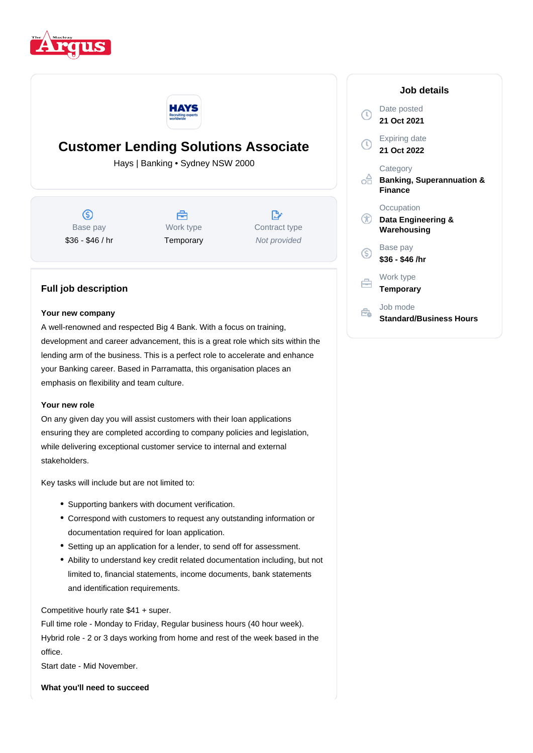



# **Customer Lending Solutions Associate**

Hays | Banking • Sydney NSW 2000

 $\circledS$ Base pay \$36 - \$46 / hr



 $\mathbb{R}^*$ Contract type Not provided

## **Full job description**

#### **Your new company**

A well-renowned and respected Big 4 Bank. With a focus on training, development and career advancement, this is a great role which sits within the lending arm of the business. This is a perfect role to accelerate and enhance your Banking career. Based in Parramatta, this organisation places an emphasis on flexibility and team culture.

#### **Your new role**

On any given day you will assist customers with their loan applications ensuring they are completed according to company policies and legislation, while delivering exceptional customer service to internal and external stakeholders.

Key tasks will include but are not limited to:

- Supporting bankers with document verification.
- Correspond with customers to request any outstanding information or documentation required for loan application.
- Setting up an application for a lender, to send off for assessment.
- Ability to understand key credit related documentation including, but not limited to, financial statements, income documents, bank statements and identification requirements.

Competitive hourly rate \$41 + super.

Full time role - Monday to Friday, Regular business hours (40 hour week). Hybrid role - 2 or 3 days working from home and rest of the week based in the office.

Start date - Mid November.

**What you'll need to succeed**

|              | Job details                                                        |
|--------------|--------------------------------------------------------------------|
| $\mathbb{T}$ | Date posted<br>21 Oct 2021                                         |
| Ţ            | <b>Expiring date</b><br>21 Oct 2022                                |
|              | Category<br><b>Banking, Superannuation &amp;</b><br><b>Finance</b> |
|              | Occupation<br>Data Engineering &<br>Warehousing                    |
| S            | Base pay<br>\$36 - \$46 /hr                                        |
|              | Work type<br><b>Temporary</b>                                      |
|              | Job mode<br><b>Standard/Business Hours</b>                         |